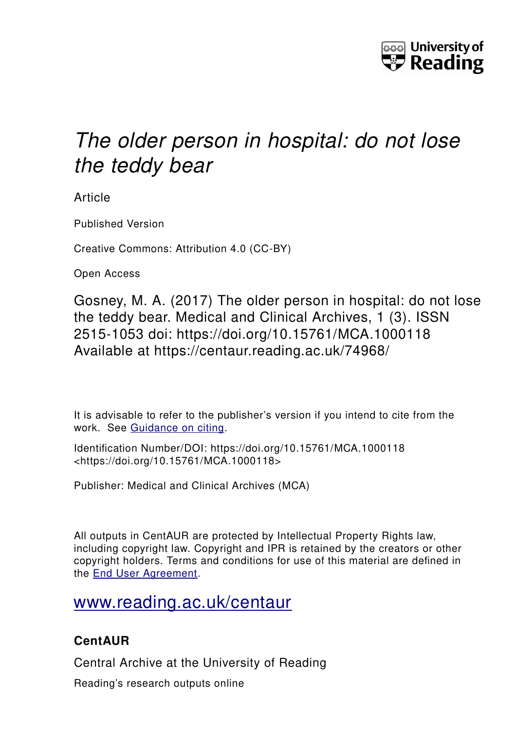

# *The older person in hospital: do not lose the teddy bear*

Article

Published Version

Creative Commons: Attribution 4.0 (CC-BY)

Open Access

Gosney, M. A. (2017) The older person in hospital: do not lose the teddy bear. Medical and Clinical Archives, 1 (3). ISSN 2515-1053 doi: https://doi.org/10.15761/MCA.1000118 Available at https://centaur.reading.ac.uk/74968/

It is advisable to refer to the publisher's version if you intend to cite from the work. See [Guidance on citing.](http://centaur.reading.ac.uk/71187/10/CentAUR%20citing%20guide.pdf)

Identification Number/DOI: https://doi.org/10.15761/MCA.1000118 <https://doi.org/10.15761/MCA.1000118>

Publisher: Medical and Clinical Archives (MCA)

All outputs in CentAUR are protected by Intellectual Property Rights law, including copyright law. Copyright and IPR is retained by the creators or other copyright holders. Terms and conditions for use of this material are defined in the [End User Agreement.](http://centaur.reading.ac.uk/licence)

## [www.reading.ac.uk/centaur](http://www.reading.ac.uk/centaur)

## **CentAUR**

Central Archive at the University of Reading

Reading's research outputs online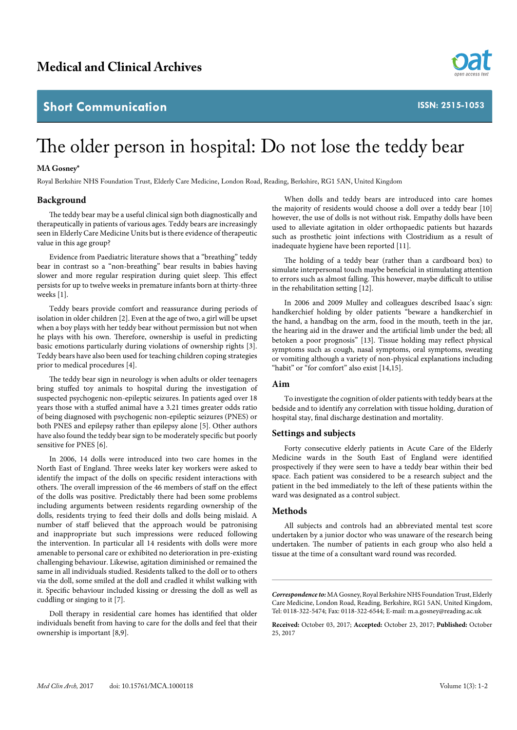### **Short Communication**



**ISSN: 2515-1053**

# The older person in hospital: Do not lose the teddy bear

#### **MA Gosney\***

Royal Berkshire NHS Foundation Trust, Elderly Care Medicine, London Road, Reading, Berkshire, RG1 5AN, United Kingdom

#### **Background**

The teddy bear may be a useful clinical sign both diagnostically and therapeutically in patients of various ages. Teddy bears are increasingly seen in Elderly Care Medicine Units but is there evidence of therapeutic value in this age group?

Evidence from Paediatric literature shows that a "breathing" teddy bear in contrast so a "non-breathing" bear results in babies having slower and more regular respiration during quiet sleep. This effect persists for up to twelve weeks in premature infants born at thirty-three weeks [1].

Teddy bears provide comfort and reassurance during periods of isolation in older children [2]. Even at the age of two, a girl will be upset when a boy plays with her teddy bear without permission but not when he plays with his own. Therefore, ownership is useful in predicting basic emotions particularly during violations of ownership rights [3]. Teddy bears have also been used for teaching children coping strategies prior to medical procedures [4].

The teddy bear sign in neurology is when adults or older teenagers bring stuffed toy animals to hospital during the investigation of suspected psychogenic non-epileptic seizures. In patients aged over 18 years those with a stuffed animal have a 3.21 times greater odds ratio of being diagnosed with psychogenic non-epileptic seizures (PNES) or both PNES and epilepsy rather than epilepsy alone [5]. Other authors have also found the teddy bear sign to be moderately specific but poorly sensitive for PNES [6].

In 2006, 14 dolls were introduced into two care homes in the North East of England. Three weeks later key workers were asked to identify the impact of the dolls on specific resident interactions with others. The overall impression of the 46 members of staff on the effect of the dolls was positive. Predictably there had been some problems including arguments between residents regarding ownership of the dolls, residents trying to feed their dolls and dolls being mislaid. A number of staff believed that the approach would be patronising and inappropriate but such impressions were reduced following the intervention. In particular all 14 residents with dolls were more amenable to personal care or exhibited no deterioration in pre-existing challenging behaviour. Likewise, agitation diminished or remained the same in all individuals studied. Residents talked to the doll or to others via the doll, some smiled at the doll and cradled it whilst walking with it. Specific behaviour included kissing or dressing the doll as well as cuddling or singing to it [7].

Doll therapy in residential care homes has identified that older individuals benefit from having to care for the dolls and feel that their ownership is important [8,9].

When dolls and teddy bears are introduced into care homes the majority of residents would choose a doll over a teddy bear [10] however, the use of dolls is not without risk. Empathy dolls have been used to alleviate agitation in older orthopaedic patients but hazards such as prosthetic joint infections with Clostridium as a result of inadequate hygiene have been reported [11].

The holding of a teddy bear (rather than a cardboard box) to simulate interpersonal touch maybe beneficial in stimulating attention to errors such as almost falling. This however, maybe difficult to utilise in the rehabilitation setting [12].

In 2006 and 2009 Mulley and colleagues described Isaac's sign: handkerchief holding by older patients "beware a handkerchief in the hand, a handbag on the arm, food in the mouth, teeth in the jar, the hearing aid in the drawer and the artificial limb under the bed; all betoken a poor prognosis" [13]. Tissue holding may reflect physical symptoms such as cough, nasal symptoms, oral symptoms, sweating or vomiting although a variety of non-physical explanations including "habit" or "for comfort" also exist [14,15].

#### **Aim**

To investigate the cognition of older patients with teddy bears at the bedside and to identify any correlation with tissue holding, duration of hospital stay, final discharge destination and mortality.

#### **Settings and subjects**

Forty consecutive elderly patients in Acute Care of the Elderly Medicine wards in the South East of England were identified prospectively if they were seen to have a teddy bear within their bed space. Each patient was considered to be a research subject and the patient in the bed immediately to the left of these patients within the ward was designated as a control subject.

#### **Methods**

All subjects and controls had an abbreviated mental test score undertaken by a junior doctor who was unaware of the research being undertaken. The number of patients in each group who also held a tissue at the time of a consultant ward round was recorded.

*Correspondence to:* MA Gosney, Royal Berkshire NHS Foundation Trust, Elderly Care Medicine, London Road, Reading, Berkshire, RG1 5AN, United Kingdom, Tel: 0118-322-5474; Fax: 0118-322-6544; E-mail: m.a.gosney@reading.ac.uk

**Received:** October 03, 2017; **Accepted:** October 23, 2017; **Published:** October 25, 2017